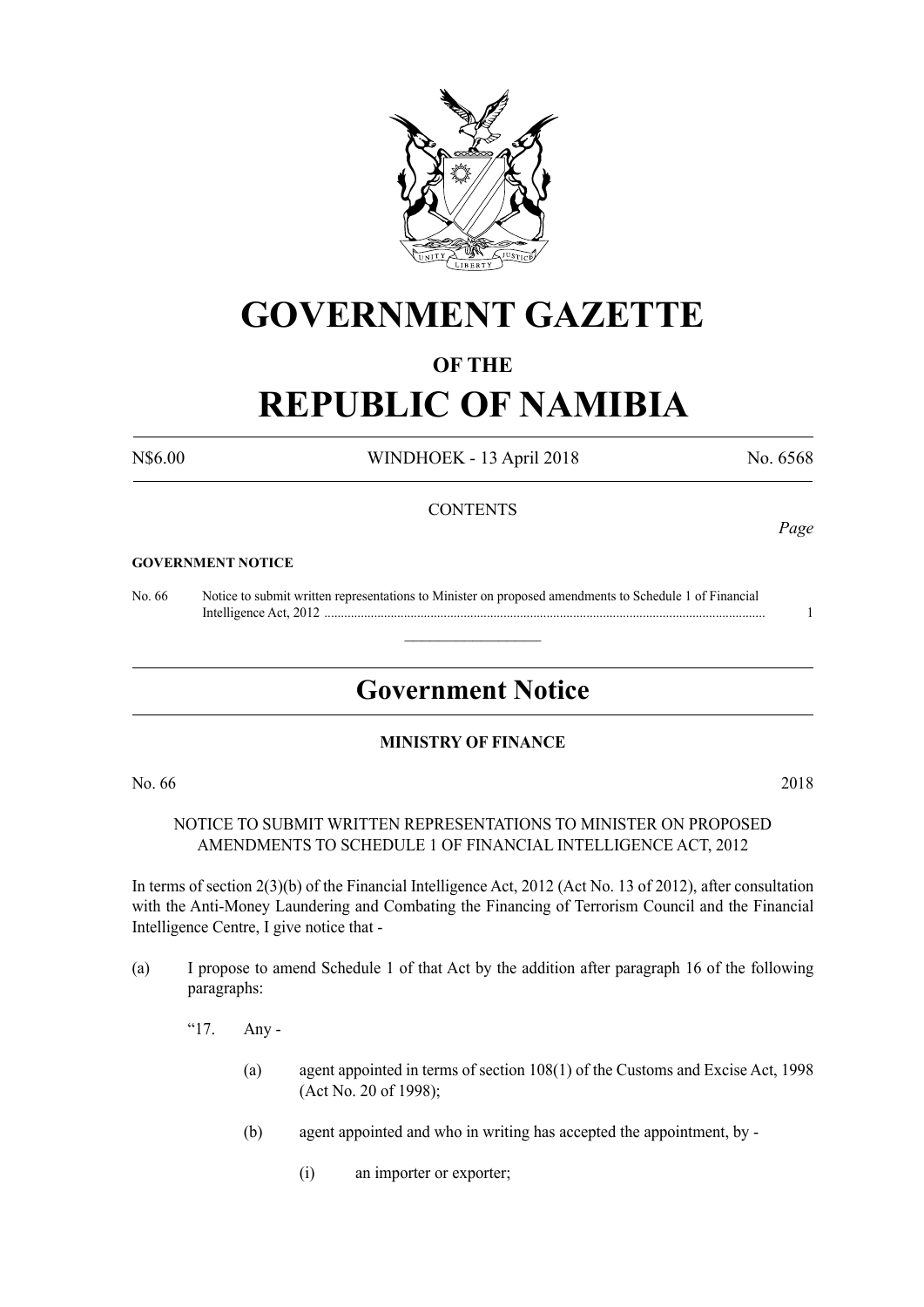

# **GOVERNMENT GAZETTE**

# **OF THE**

# **REPUBLIC OF NAMIBIA**

N\$6.00 WINDHOEK - 13 April 2018 No. 6568

## **CONTENTS**

#### **GOVERNMENT NOTICE**

No. 66 Notice to submit written representations to Minister on proposed amendments to Schedule 1 of Financial Intelligence Act, 2012 ..................................................................................................................................... 1

# **Government Notice**

 $\overline{\phantom{a}}$  , where  $\overline{\phantom{a}}$ 

### **MINISTRY OF FINANCE**

No. 66 2018

NOTICE TO SUBMIT WRITTEN REPRESENTATIONS TO MINISTER ON PROPOSED AMENDMENTS TO SCHEDULE 1 OF FINANCIAL INTELLIGENCE ACT, 2012

In terms of section 2(3)(b) of the Financial Intelligence Act, 2012 (Act No. 13 of 2012), after consultation with the Anti-Money Laundering and Combating the Financing of Terrorism Council and the Financial Intelligence Centre, I give notice that -

- (a) I propose to amend Schedule 1 of that Act by the addition after paragraph 16 of the following paragraphs:
	- "17. Any
		- (a) agent appointed in terms of section 108(1) of the Customs and Excise Act, 1998 (Act No. 20 of 1998);
		- (b) agent appointed and who in writing has accepted the appointment, by
			- (i) an importer or exporter;

*Page*